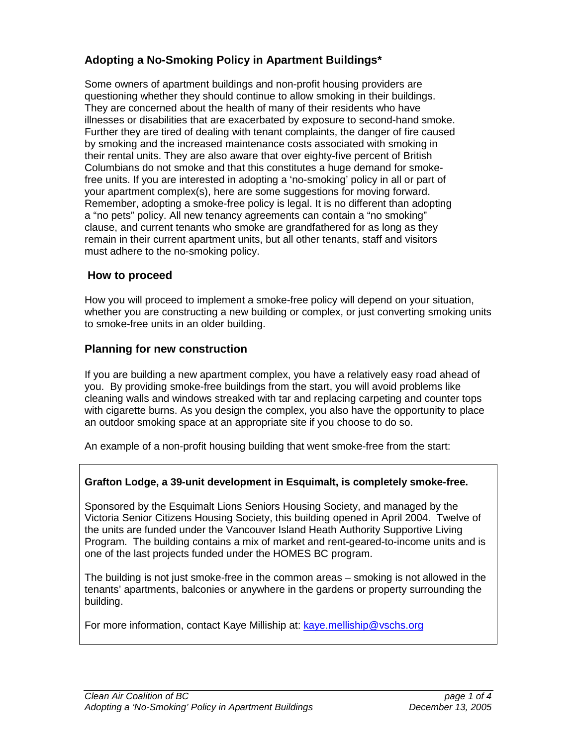# **Adopting a No-Smoking Policy in Apartment Buildings\***

Some owners of apartment buildings and non-profit housing providers are questioning whether they should continue to allow smoking in their buildings. They are concerned about the health of many of their residents who have illnesses or disabilities that are exacerbated by exposure to second-hand smoke. Further they are tired of dealing with tenant complaints, the danger of fire caused by smoking and the increased maintenance costs associated with smoking in their rental units. They are also aware that over eighty-five percent of British Columbians do not smoke and that this constitutes a huge demand for smokefree units. If you are interested in adopting a 'no-smoking' policy in all or part of your apartment complex(s), here are some suggestions for moving forward. Remember, adopting a smoke-free policy is legal. It is no different than adopting a "no pets" policy. All new tenancy agreements can contain a "no smoking" clause, and current tenants who smoke are grandfathered for as long as they remain in their current apartment units, but all other tenants, staff and visitors must adhere to the no-smoking policy.

# **How to proceed**

How you will proceed to implement a smoke-free policy will depend on your situation, whether you are constructing a new building or complex, or just converting smoking units to smoke-free units in an older building.

# **Planning for new construction**

If you are building a new apartment complex, you have a relatively easy road ahead of you. By providing smoke-free buildings from the start, you will avoid problems like cleaning walls and windows streaked with tar and replacing carpeting and counter tops with cigarette burns. As you design the complex, you also have the opportunity to place an outdoor smoking space at an appropriate site if you choose to do so.

An example of a non-profit housing building that went smoke-free from the start:

# **Grafton Lodge, a 39-unit development in Esquimalt, is completely smoke-free.**

Sponsored by the Esquimalt Lions Seniors Housing Society, and managed by the Victoria Senior Citizens Housing Society, this building opened in April 2004. Twelve of the units are funded under the Vancouver Island Heath Authority Supportive Living Program. The building contains a mix of market and rent-geared-to-income units and is one of the last projects funded under the HOMES BC program.

The building is not just smoke-free in the common areas – smoking is not allowed in the tenants' apartments, balconies or anywhere in the gardens or property surrounding the building.

For more information, contact Kaye Milliship at: kaye.melliship@vschs.org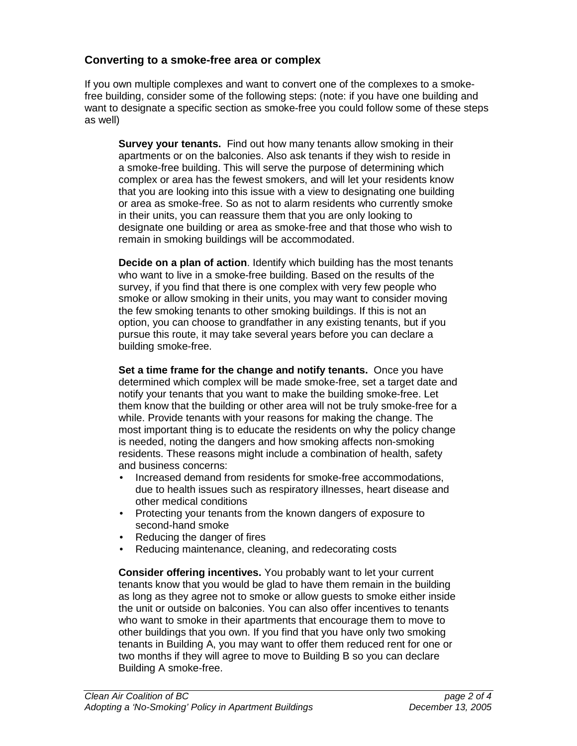# **Converting to a smoke-free area or complex**

If you own multiple complexes and want to convert one of the complexes to a smokefree building, consider some of the following steps: (note: if you have one building and want to designate a specific section as smoke-free you could follow some of these steps as well)

**Survey your tenants.** Find out how many tenants allow smoking in their apartments or on the balconies. Also ask tenants if they wish to reside in a smoke-free building. This will serve the purpose of determining which complex or area has the fewest smokers, and will let your residents know that you are looking into this issue with a view to designating one building or area as smoke-free. So as not to alarm residents who currently smoke in their units, you can reassure them that you are only looking to designate one building or area as smoke-free and that those who wish to remain in smoking buildings will be accommodated.

**Decide on a plan of action**. Identify which building has the most tenants who want to live in a smoke-free building. Based on the results of the survey, if you find that there is one complex with very few people who smoke or allow smoking in their units, you may want to consider moving the few smoking tenants to other smoking buildings. If this is not an option, you can choose to grandfather in any existing tenants, but if you pursue this route, it may take several years before you can declare a building smoke-free.

**Set a time frame for the change and notify tenants.** Once you have determined which complex will be made smoke-free, set a target date and notify your tenants that you want to make the building smoke-free. Let them know that the building or other area will not be truly smoke-free for a while. Provide tenants with your reasons for making the change. The most important thing is to educate the residents on why the policy change is needed, noting the dangers and how smoking affects non-smoking residents. These reasons might include a combination of health, safety and business concerns:

- Increased demand from residents for smoke-free accommodations, due to health issues such as respiratory illnesses, heart disease and other medical conditions
- Protecting your tenants from the known dangers of exposure to second-hand smoke
- Reducing the danger of fires
- Reducing maintenance, cleaning, and redecorating costs

**Consider offering incentives.** You probably want to let your current tenants know that you would be glad to have them remain in the building as long as they agree not to smoke or allow guests to smoke either inside the unit or outside on balconies. You can also offer incentives to tenants who want to smoke in their apartments that encourage them to move to other buildings that you own. If you find that you have only two smoking tenants in Building A, you may want to offer them reduced rent for one or two months if they will agree to move to Building B so you can declare Building A smoke-free.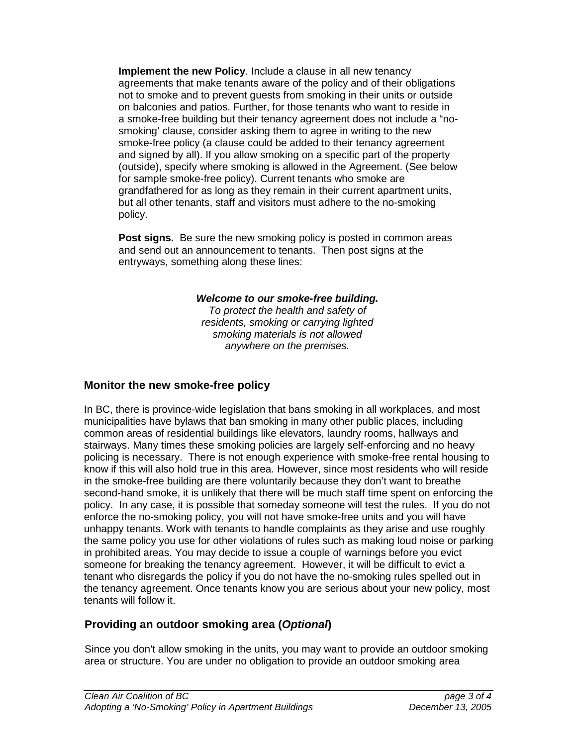**Implement the new Policy.** Include a clause in all new tenancy agreements that make tenants aware of the policy and of their obligations not to smoke and to prevent guests from smoking in their units or outside on balconies and patios. Further, for those tenants who want to reside in a smoke-free building but their tenancy agreement does not include a "nosmoking' clause, consider asking them to agree in writing to the new smoke-free policy (a clause could be added to their tenancy agreement and signed by all). If you allow smoking on a specific part of the property (outside), specify where smoking is allowed in the Agreement. (See below for sample smoke-free policy). Current tenants who smoke are grandfathered for as long as they remain in their current apartment units, but all other tenants, staff and visitors must adhere to the no-smoking policy.

**Post signs.** Be sure the new smoking policy is posted in common areas and send out an announcement to tenants. Then post signs at the entryways, something along these lines:

#### **Welcome to our smoke-free building.**

To protect the health and safety of residents, smoking or carrying lighted smoking materials is not allowed anywhere on the premises.

# **Monitor the new smoke-free policy**

In BC, there is province-wide legislation that bans smoking in all workplaces, and most municipalities have bylaws that ban smoking in many other public places, including common areas of residential buildings like elevators, laundry rooms, hallways and stairways. Many times these smoking policies are largely self-enforcing and no heavy policing is necessary. There is not enough experience with smoke-free rental housing to know if this will also hold true in this area. However, since most residents who will reside in the smoke-free building are there voluntarily because they don't want to breathe second-hand smoke, it is unlikely that there will be much staff time spent on enforcing the policy. In any case, it is possible that someday someone will test the rules. If you do not enforce the no-smoking policy, you will not have smoke-free units and you will have unhappy tenants. Work with tenants to handle complaints as they arise and use roughly the same policy you use for other violations of rules such as making loud noise or parking in prohibited areas. You may decide to issue a couple of warnings before you evict someone for breaking the tenancy agreement. However, it will be difficult to evict a tenant who disregards the policy if you do not have the no-smoking rules spelled out in the tenancy agreement. Once tenants know you are serious about your new policy, most tenants will follow it.

# **Providing an outdoor smoking area (Optional)**

Since you don't allow smoking in the units, you may want to provide an outdoor smoking area or structure. You are under no obligation to provide an outdoor smoking area